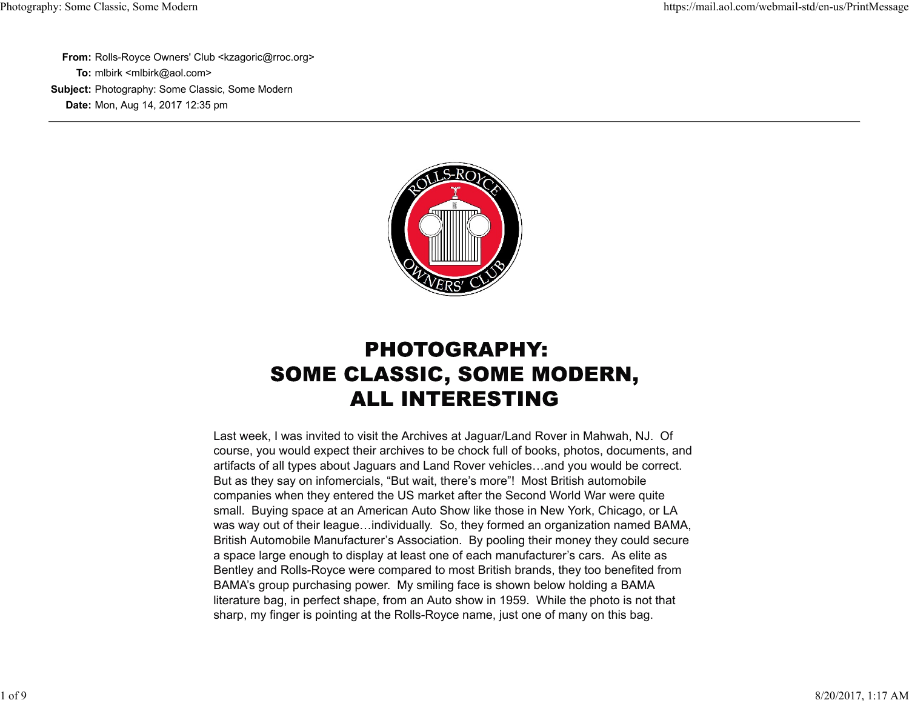**From:** Rolls-Royce Owners' Club <kzagoric@rroc.org> **To:** mlbirk <mlbirk@aol.com> **Subject:** Photography: Some Classic, Some Modern **Date:** Mon, Aug 14, 2017 12:35 pm



# **PHOTOGRAPHY: SOME CLASSIC, SOME MODERN, ALL INTERESTING**

Last week, I was invited to visit the Archives at Jaguar/Land Rover in Mahwah, NJ. Of course, you would expect their archives to be chock full of books, photos, documents, and artifacts of all types about Jaguars and Land Rover vehicles…and you would be correct. But as they say on infomercials, "But wait, there's more"! Most British automobile companies when they entered the US market after the Second World War were quite small. Buying space at an American Auto Show like those in New York, Chicago, or LA was way out of their league…individually. So, they formed an organization named BAMA, British Automobile Manufacturer's Association. By pooling their money they could secure a space large enough to display at least one of each manufacturer's cars. As elite as Bentley and Rolls-Royce were compared to most British brands, they too benefited from BAMA's group purchasing power. My smiling face is shown below holding a BAMA literature bag, in perfect shape, from an Auto show in 1959. While the photo is not that sharp, my finger is pointing at the Rolls-Royce name, just one of many on this bag.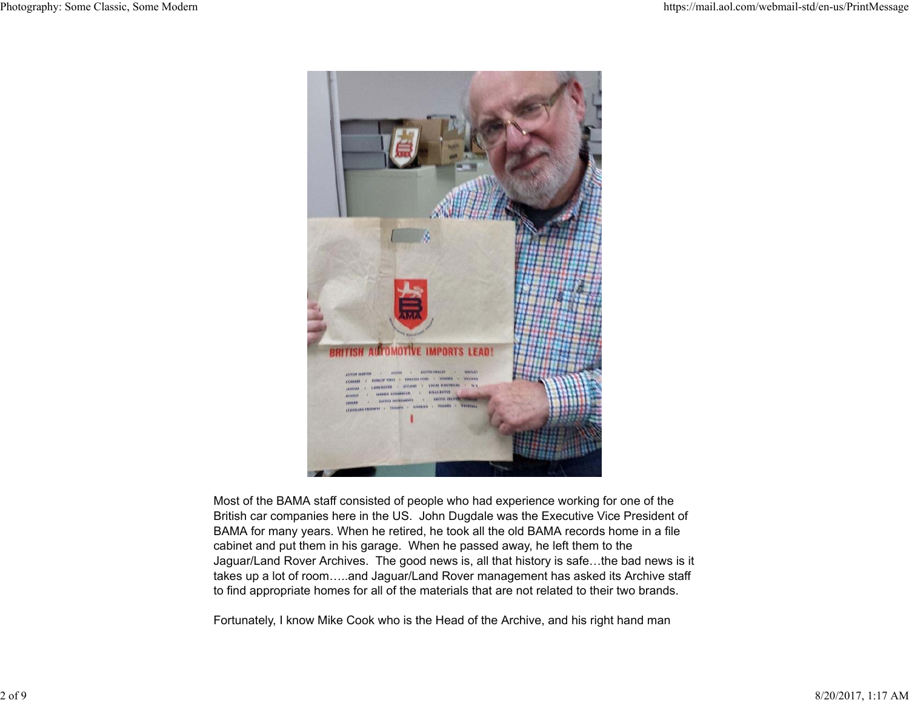

Most of the BAMA staff consisted of people who had experience working for one of the British car companies here in the US. John Dugdale was the Executive Vice President of BAMA for many years. When he retired, he took all the old BAMA records home in a file cabinet and put them in his garage. When he passed away, he left them to the Jaguar/Land Rover Archives. The good news is, all that history is safe…the bad news is it takes up a lot of room…..and Jaguar/Land Rover management has asked its Archive staff to find appropriate homes for all of the materials that are not related to their two brands.

Fortunately, I know Mike Cook who is the Head of the Archive, and his right hand man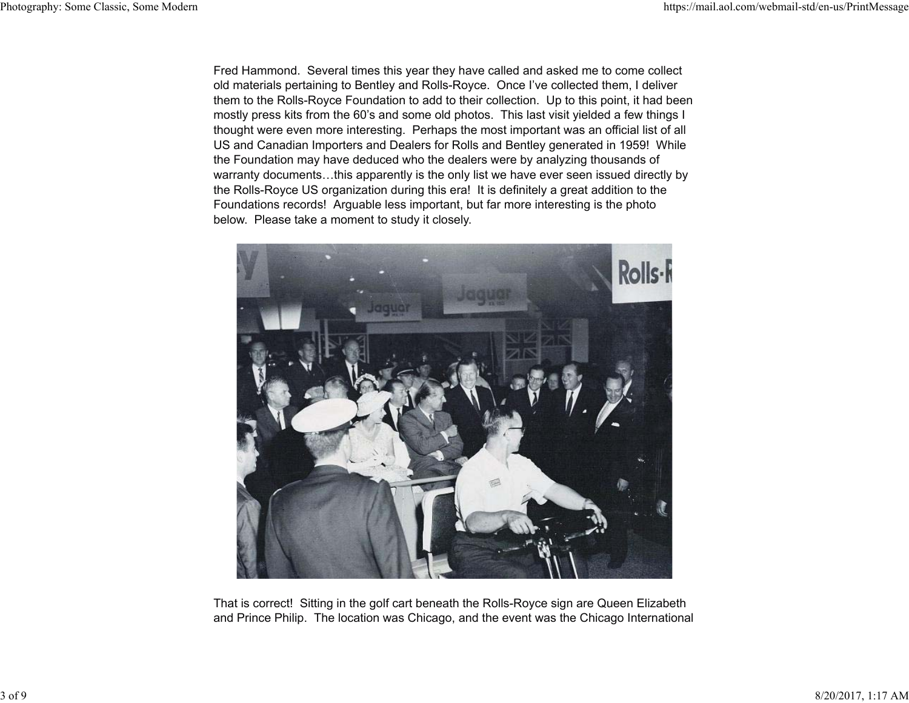Fred Hammond. Several times this year they have called and asked me to come collect old materials pertaining to Bentley and Rolls-Royce. Once I've collected them, I deliver them to the Rolls-Royce Foundation to add to their collection. Up to this point, it had been mostly press kits from the 60's and some old photos. This last visit yielded a few things I thought were even more interesting. Perhaps the most important was an official list of all US and Canadian Importers and Dealers for Rolls and Bentley generated in 1959! While the Foundation may have deduced who the dealers were by analyzing thousands of warranty documents…this apparently is the only list we have ever seen issued directly by the Rolls-Royce US organization during this era! It is definitely a great addition to the Foundations records! Arguable less important, but far more interesting is the photo below. Please take a moment to study it closely.



That is correct! Sitting in the golf cart beneath the Rolls-Royce sign are Queen Elizabeth and Prince Philip. The location was Chicago, and the event was the Chicago International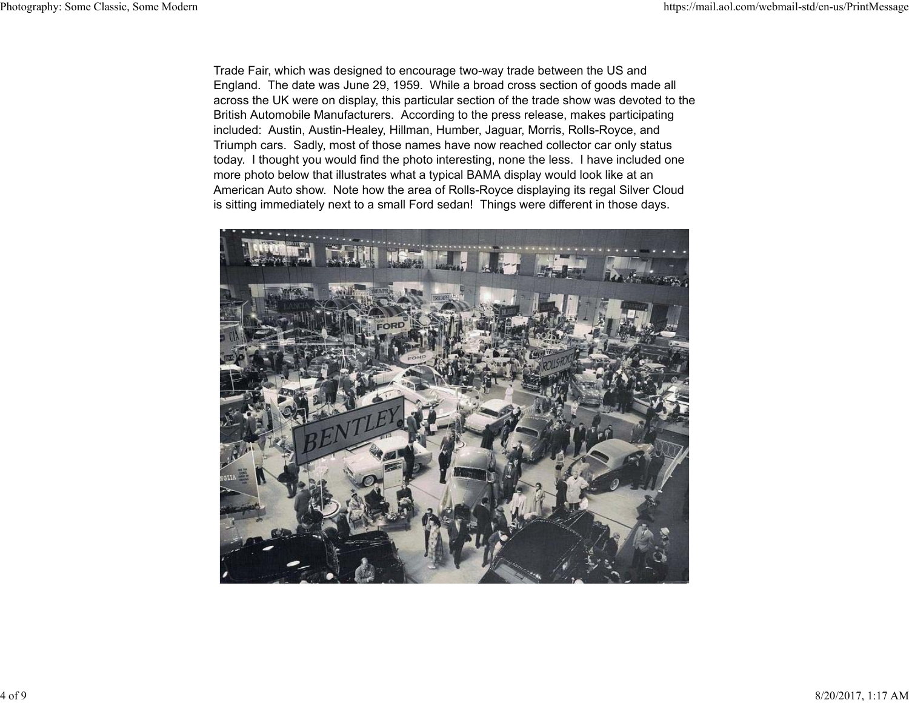Trade Fair, which was designed to encourage two-way trade between the US and England. The date was June 29, 1959. While a broad cross section of goods made all across the UK were on display, this particular section of the trade show was devoted to the British Automobile Manufacturers. According to the press release, makes participating included: Austin, Austin-Healey, Hillman, Humber, Jaguar, Morris, Rolls-Royce, and Triumph cars. Sadly, most of those names have now reached collector car only status today. I thought you would find the photo interesting, none the less. I have included one more photo below that illustrates what a typical BAMA display would look like at an American Auto show. Note how the area of Rolls-Royce displaying its regal Silver Cloud is sitting immediately next to a small Ford sedan! Things were different in those days.

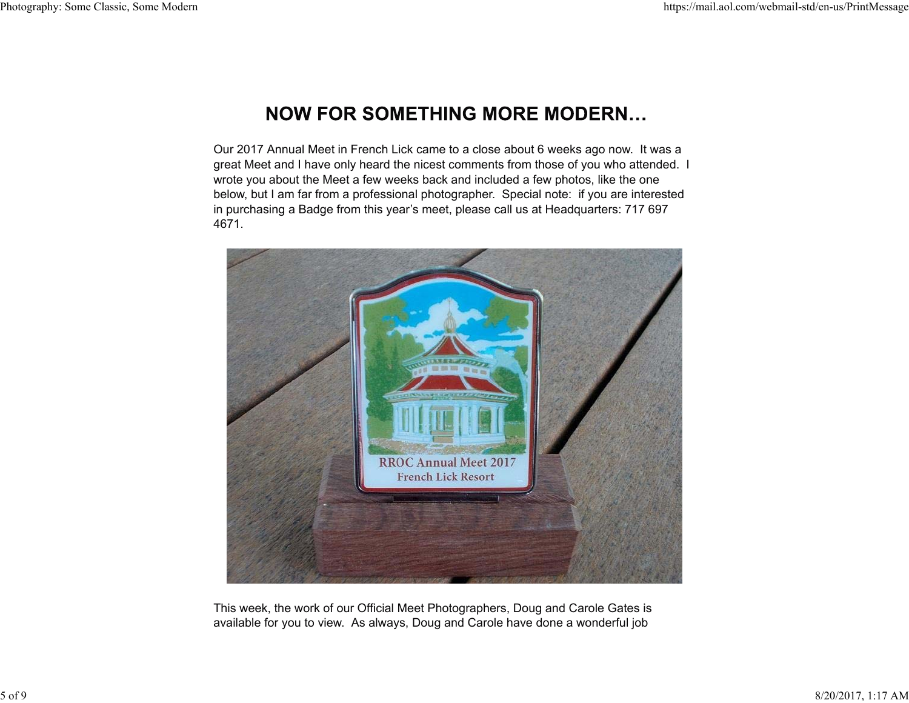## **NOW FOR SOMETHING MORE MODERN...**

Our 2017 Annual Meet in French Lick came to a close about 6 weeks ago now. It was a great Meet and I have only heard the nicest comments from those of you who attended. I wrote you about the Meet a few weeks back and included a few photos, like the one below, but I am far from a professional photographer. Special note: if you are interested in purchasing a Badge from this year's meet, please call us at Headquarters: 717 697 4671.



This week, the work of our Official Meet Photographers, Doug and Carole Gates is available for you to view. As always, Doug and Carole have done a wonderful job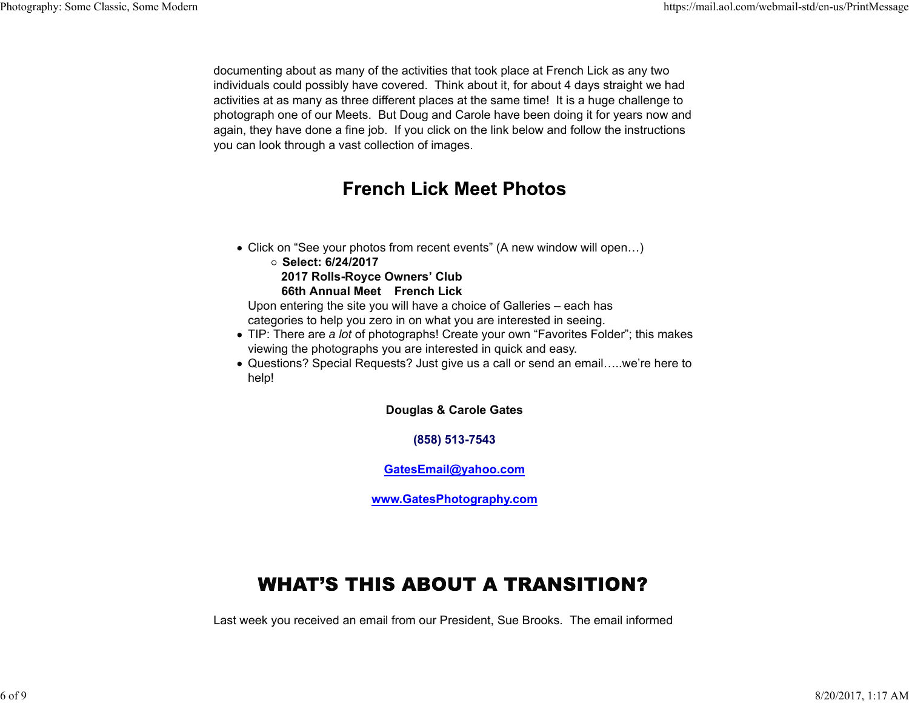documenting about as many of the activities that took place at French Lick as any two individuals could possibly have covered. Think about it, for about 4 days straight we had activities at as many as three different places at the same time! It is a huge challenge to photograph one of our Meets. But Doug and Carole have been doing it for years now and again, they have done a fine job. If you click on the link below and follow the instructions you can look through a vast collection of images.

### **French Lick Meet Photos**

- Click on "See your photos from recent events" (A new window will open…)
	- **Select: 6/24/2017 2017 Rolls-Royce Owners' Club 66th Annual Meet French Lick**

Upon entering the site you will have a choice of Galleries – each has categories to help you zero in on what you are interested in seeing.

- TIP: There are *a lot* of photographs! Create your own "Favorites Folder"; this makes viewing the photographs you are interested in quick and easy.
- Questions? Special Requests? Just give us a call or send an email…..we're here to help!

**Douglas & Carole Gates**

**(858) 513-7543**

**GatesEmail@yahoo.com**

**www.GatesPhotography.com**

# **WHAT'S THIS ABOUT A TRANSITION?**

Last week you received an email from our President, Sue Brooks. The email informed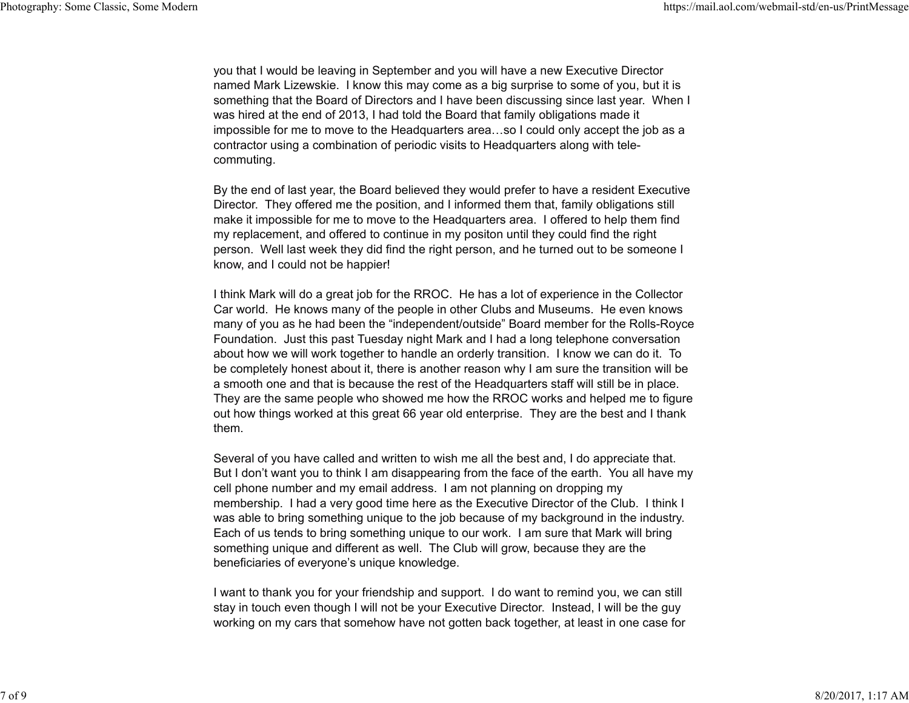you that I would be leaving in September and you will have a new Executive Director named Mark Lizewskie. I know this may come as a big surprise to some of you, but it is something that the Board of Directors and I have been discussing since last year. When I was hired at the end of 2013, I had told the Board that family obligations made it impossible for me to move to the Headquarters area…so I could only accept the job as a contractor using a combination of periodic visits to Headquarters along with telecommuting.

By the end of last year, the Board believed they would prefer to have a resident Executive Director. They offered me the position, and I informed them that, family obligations still make it impossible for me to move to the Headquarters area. I offered to help them find my replacement, and offered to continue in my positon until they could find the right person. Well last week they did find the right person, and he turned out to be someone I know, and I could not be happier!

I think Mark will do a great job for the RROC. He has a lot of experience in the Collector Car world. He knows many of the people in other Clubs and Museums. He even knows many of you as he had been the "independent/outside" Board member for the Rolls-Royce Foundation. Just this past Tuesday night Mark and I had a long telephone conversation about how we will work together to handle an orderly transition. I know we can do it. To be completely honest about it, there is another reason why I am sure the transition will be a smooth one and that is because the rest of the Headquarters staff will still be in place. They are the same people who showed me how the RROC works and helped me to figure out how things worked at this great 66 year old enterprise. They are the best and I thank them.

Several of you have called and written to wish me all the best and, I do appreciate that. But I don't want you to think I am disappearing from the face of the earth. You all have my cell phone number and my email address. I am not planning on dropping my membership. I had a very good time here as the Executive Director of the Club. I think I was able to bring something unique to the job because of my background in the industry. Each of us tends to bring something unique to our work. I am sure that Mark will bring something unique and different as well. The Club will grow, because they are the beneficiaries of everyone's unique knowledge.

I want to thank you for your friendship and support. I do want to remind you, we can still stay in touch even though I will not be your Executive Director. Instead, I will be the guy working on my cars that somehow have not gotten back together, at least in one case for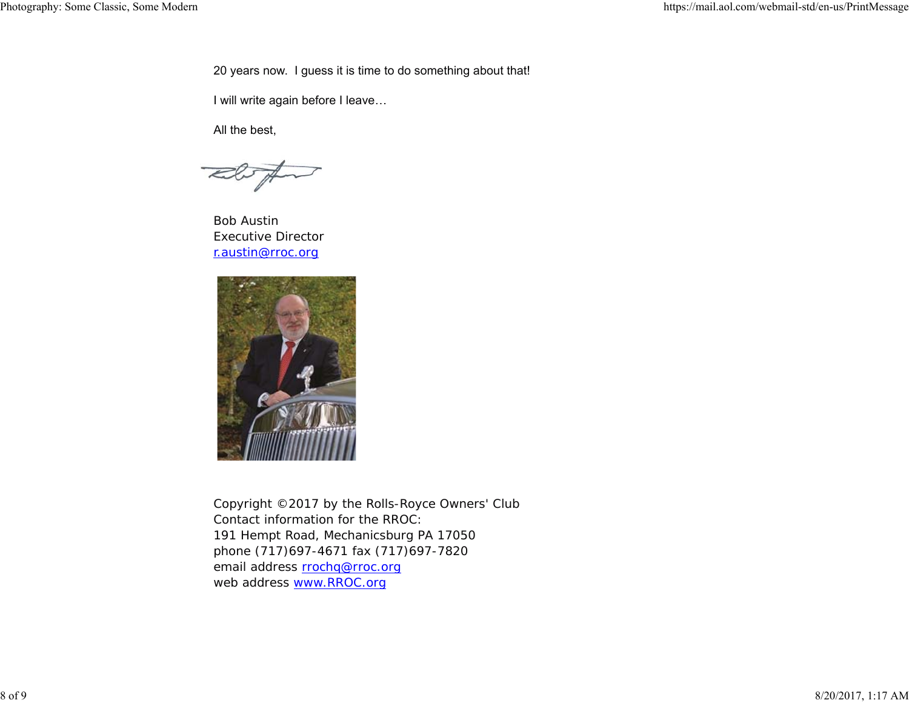20 years now. I guess it is time to do something about that!

I will write again before I leave…

All the best,

Bob Austin Executive Director r.austin@rroc.org



Copyright ©2017 by the Rolls-Royce Owners' Club Contact information for the RROC: 191 Hempt Road, Mechanicsburg PA 17050 phone (717)697-4671 fax (717)697-7820 email address rrochq@rroc.org web address www.RROC.org